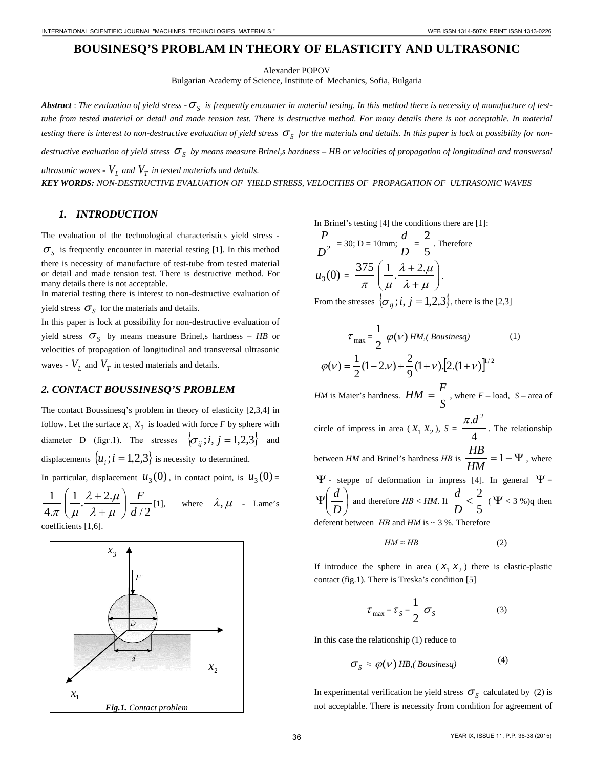# **BOUSINESQ'S PROBLAM IN THEORY OF ELASTICITY AND ULTRASONIC**

Alexander POPOV

Bulgarian Academy of Science, Institute of Mechanics, Sofia, Bulgaria

Abstract : The evaluation of yield stress  $-\sigma_s$  is frequently encounter in material testing. In this method there is necessity of manufacture of test*tube from tested material or detail and made tension test. There is destructive method. For many details there is not acceptable. In material*  testing there is interest to non-destructive evaluation of yield stress  $\sigma_s$  for the materials and details. In this paper is lock at possibility for nondestructive evaluation of yield stress σ<sub>s</sub> by means measure Brinel,s hardness – HB or velocities of propagation of longitudinal and transversal *ultrasonic waves -*  $V_L$  *and*  $V_T$  *in tested materials and details.* 

*KEY WORDS: NON-DESTRUCTIVE EVALUATION OF YIELD STRESS, VELOCITIES OF PROPAGATION OF ULTRASONIC WAVES*

#### *1. INTRODUCTION*

The evaluation of the technological characteristics yield stress -  $\sigma<sub>S</sub>$  is frequently encounter in material testing [1]. In this method there is necessity of manufacture of test-tube from tested material or detail and made tension test. There is destructive method. For many details there is not acceptable.

In material testing there is interest to non-destructive evaluation of yield stress  $\sigma_s$  for the materials and details.

In this paper is lock at possibility for non-destructive evaluation of yield stress  $\sigma_s$  by means measure Brinel, shardness – *HB* or velocities of propagation of longitudinal and transversal ultrasonic waves -  $V_L$  and  $V_T$  in tested materials and details.

### *2. CONTACT BOUSSINESQ'S PROBLEM*

The contact Boussinesq's problem in theory of elasticity [2,3,4] in follow. Let the surface  $x_1$ ,  $x_2$  is loaded with force *F* by sphere with diameter D (figr.1). The stresses  $\{\sigma_{ii}; i, j = 1,2,3\}$  and displacements  $\{u_i; i = 1,2,3\}$  is necessity to determined.

In particular, displacement  $u_3(0)$ , in contact point, is  $u_3(0)$  =

 $4.\pi$ 1  $\overline{\phantom{a}}$  $\left(\frac{1}{\mu}\cdot\frac{\lambda+2\cdot\mu}{\lambda+\mu}\right)$  $\setminus$ ſ + +  $\lambda + \mu$  $\lambda + 2.\mu$  $\mu$  $\frac{1}{2}$ .  $\frac{\lambda+2}{2}$ .  $d/2$  $\frac{F}{\mu}$ [1], where  $\lambda, \mu$  - Lame's coefficients [1,6].



In Brinel's testing [4] the conditions there are [1]:

$$
\frac{P}{D^2} = 30; D = 10 \text{mm}; \frac{d}{D} = \frac{2}{5}.
$$
 Therefore  

$$
u_3(0) = \frac{375}{\pi} \left( \frac{1}{\mu} \cdot \frac{\lambda + 2 \cdot \mu}{\lambda + \mu} \right).
$$
  
From the stresses  $\{\sigma_{ij}; i, j = 1, 2, 3\}$ , there is the [2,3]

$$
\tau_{\text{max}} = \frac{1}{2} \varphi(\nu) H M, (Bousinesq)
$$
 (1)  

$$
\varphi(\nu) = \frac{1}{2} (1 - 2 \nu) + \frac{2}{9} (1 + \nu) [2 \cdot (1 + \nu)]^{1/2}
$$

*HM* is Maier's hardness.  $HM = \frac{1}{S}$  $HM = \frac{F}{g}$ , where  $F$  – load, *S* – area of

circle of impress in area ( $x_1$   $x_2$ ),  $S = \frac{7.44}{4}$  $\frac{\pi.d^2}{\pi}$ . The relationship between *HM* and Brinel's hardness *HB* is  $\frac{111}{111} = 1 - \Psi$ *HM*  $\frac{HB}{\sqrt{AB}} = 1 - \Psi$ , where  $\Psi$  - steppe of deformation in impress [4]. In general  $\Psi$  =  $\overline{\phantom{a}}$ J  $\left(\frac{d}{b}\right)$  $\setminus$  Ψ *D*  $\left(\frac{d}{D}\right)$  and therefore *HB* < *HM*. If  $\left(\frac{d}{D}\right)$  <  $\frac{2}{5}$  $\frac{2}{2}$ *D*  $\frac{d}{dx} < \frac{2}{x}$  (**Y** < 3 %)q then deferent between *HВ* and *HM* is ~ 3 %. Therefore

$$
HM \approx HB \tag{2}
$$

If introduce the sphere in area  $(X_1, X_2)$  there is elastic-plastic contact (fig.1). There is Treska's condition [5]

$$
\tau_{\text{max}} = \tau_s = \frac{1}{2} \sigma_s \tag{3}
$$

In this case the relationship (1) reduce to

$$
\sigma_{\rm S} \approx \varphi(\nu) \, HB, \, (Bousinesq) \tag{4}
$$

In experimental verification he yield stress  $\sigma<sub>S</sub>$  calculated by (2) is not acceptable. There is necessity from condition for agreement of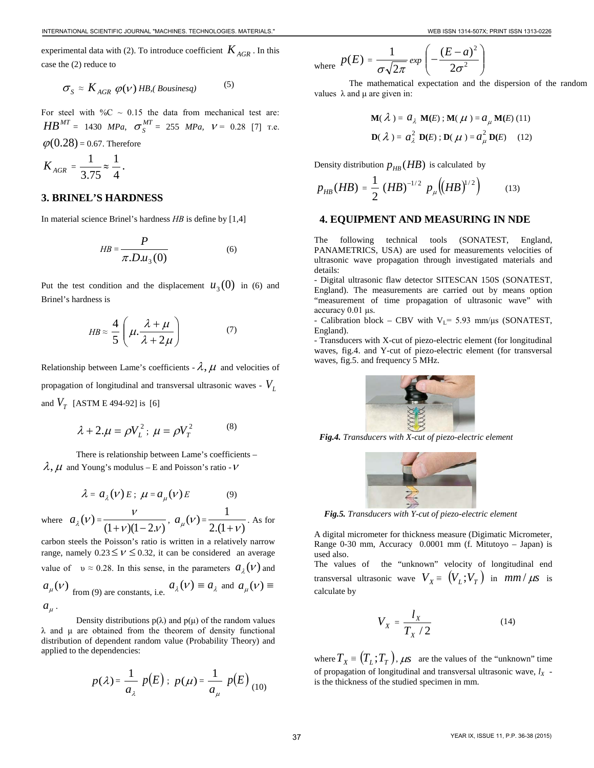experimental data with (2). To introduce coefficient  $K_{AGR}$ . In this case the (2) reduce to

$$
\sigma_{S} \approx K_{AGR} \varphi(\nu) \, HB, (Bousinesq) \tag{5}
$$

For steel with  $\%C \sim 0.15$  the data from mechanical test are:  $HB^{MT} = 1430$  *MPa*,  $\sigma_S^{MT} = 255$  *MPa*,  $V = 0.28$  [7] T.e.  $\varphi$ (0.28) = 0.67. Therefore

$$
K_{AGR} = \frac{1}{3.75} \approx \frac{1}{4}.
$$

#### **3. BRINEL'S HARDNESS**

In material science Brinel's hardness *HВ* is define by [1,4]

$$
HB = \frac{P}{\pi.D.u_3(0)}\tag{6}
$$

Put the test condition and the displacement  $u_3(0)$  in (6) and Brinel's hardness is

$$
HB \approx \frac{4}{5} \left( \mu \cdot \frac{\lambda + \mu}{\lambda + 2\mu} \right) \tag{7}
$$

Relationship between Lame's coefficients -  $\lambda$ ,  $\mu$  and velocities of propagation of longitudinal and transversal ultrasonic waves - *VL* and  $V_T$  [ASTM E 494-92] is [6]

$$
\lambda + 2.\mu = \rho V_L^2
$$
;  $\mu = \rho V_T^2$  (8)

There is relationship between Lame's coefficients –  $\lambda$ ,  $\mu$  and Young's modulus – E and Poisson's ratio - V

$$
\lambda = a_{\lambda}(v) E; \ \mu = a_{\mu}(v) E \tag{9}
$$

where  $a_{\lambda}(v) =$  $(1+\nu)(1-2.\nu)$  $\frac{v}{(1+v)(1-2v)}, a_{\mu}(v) = \frac{1}{2(1+v)}$ 1  $+\nu$ . As for

carbon steels the Poisson's ratio is written in a relatively narrow range, namely  $0.23 \leq v \leq 0.32$ , it can be considered an average value of  $v \approx 0.28$ . In this sense, in the parameters  $a_{\lambda}(V)$  and  $a_{\mu}(\nu)$  from (9) are constants, i.e.  $a_{\lambda}(\nu) \equiv a_{\lambda}$  and  $a_{\mu}(\nu) \equiv$  $a<sub>u</sub>$ .

Density distributions  $p(\lambda)$  and  $p(\mu)$  of the random values  $λ$  and  $μ$  are obtained from the theorem of density functional distribution of dependent random value (Probability Theory) and applied to the dependencies:

$$
p(\lambda) = \frac{1}{a_{\lambda}} p(E)
$$
;  $p(\mu) = \frac{1}{a_{\mu}} p(E)$  (10)

where 
$$
p(E) = \frac{1}{\sigma \sqrt{2\pi}} exp\left(-\frac{(E-a)^2}{2\sigma^2}\right)
$$

 The mathematical expectation and the dispersion of the random values  $\lambda$  and  $\mu$  are given in:

$$
\mathbf{M}(\lambda) = a_{\lambda} \mathbf{M}(E) ; \mathbf{M}(\mu) = a_{\mu} \mathbf{M}(E) (11)
$$
  

$$
\mathbf{D}(\lambda) = a_{\lambda}^{2} \mathbf{D}(E) ; \mathbf{D}(\mu) = a_{\mu}^{2} \mathbf{D}(E) (12)
$$

Density distribution  $p_{HR}(HB)$  is calculated by

$$
p_{HB}(HB) = \frac{1}{2} (HB)^{-1/2} p_{\mu} \big( (HB)^{1/2} \big) \qquad (13)
$$

### **4. EQUIPMENT AND MEASURING IN NDE**

The following technical tools (SONATEST, England, PANAMETRICS, USA) are used for measurements velocities of ultrasonic wave propagation through investigated materials and details:

- Digital ultrasonic flaw detector SITESCAN 150S (SONATEST, England). The measurements are carried out by means option "measurement of time propagation of ultrasonic wave" with accuracy 0.01 μs.

- Calibration block – CBV with  $V_L$ = 5.93 mm/ $\mu$ s (SONATEST, England).

- Transducers with X-cut of piezo-electric element (for longitudinal waves, fig.4. and Y-cut of piezo-electric element (for transversal waves, fig.5. and frequency 5 MHz.



*Fig.4. Transducers with X-cut of piezo-electric element*



*Fig.5. Transducers with Y-cut of piezo-electric element*

A digital micrometer for thickness measure (Digimatic Micrometer, Range 0-30 mm, Accuracy 0.0001 mm (f. Mitutoyo – Japan) is used also.

The values of the "unknown" velocity of longitudinal end transversal ultrasonic wave  $V_X = (V_L; V_T)$  in  $mm / \mu s$  is calculate by

$$
V_X = \frac{l_X}{T_X/2} \tag{14}
$$

where  $T_X \equiv (T_L; T_T)$ ,  $\mu$ s are the values of the "unknown" time of propagation of longitudinal and transversal ultrasonic wave,  $l_X$  is the thickness of the studied specimen in mm.